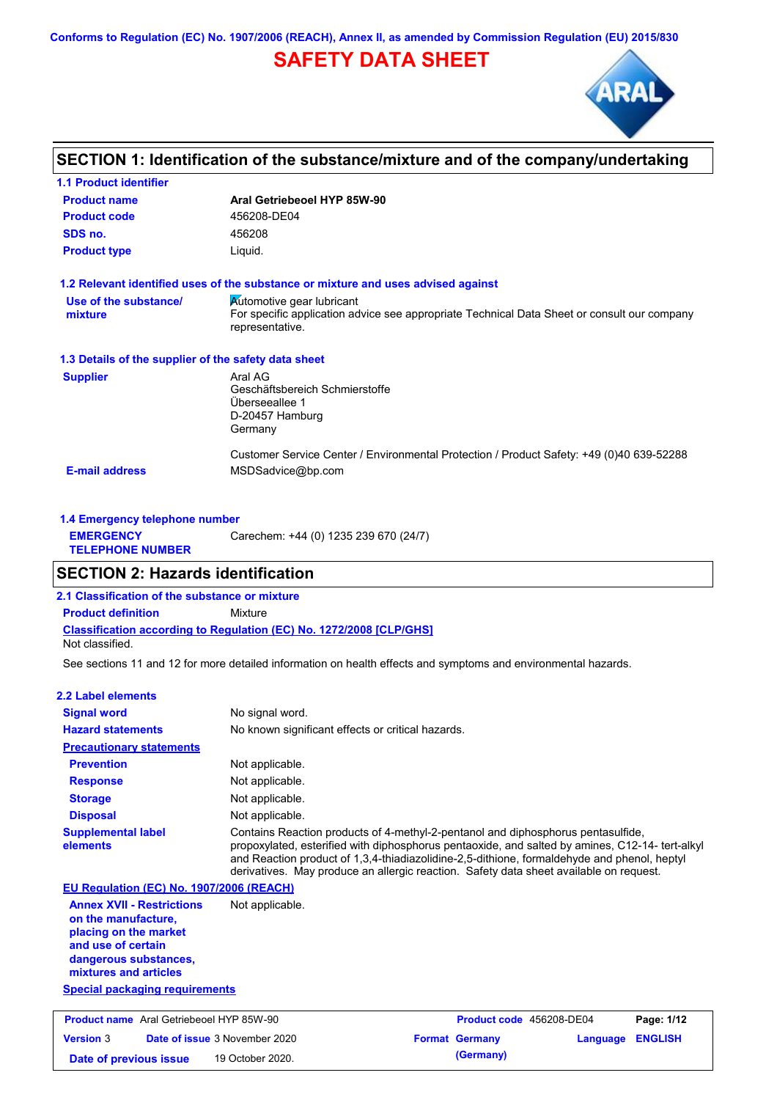**Conforms to Regulation (EC) No. 1907/2006 (REACH), Annex II, as amended by Commission Regulation (EU) 2015/830**

# **SAFETY DATA SHEET**



# **SECTION 1: Identification of the substance/mixture and of the company/undertaking**

| <b>1.1 Product identifier</b>                        |                                                                                                                |
|------------------------------------------------------|----------------------------------------------------------------------------------------------------------------|
| <b>Product name</b>                                  | Aral Getriebeoel HYP 85W-90                                                                                    |
| <b>Product code</b>                                  | 456208-DE04                                                                                                    |
| SDS no.                                              | 456208                                                                                                         |
| <b>Product type</b>                                  | Liquid.                                                                                                        |
|                                                      | 1.2 Relevant identified uses of the substance or mixture and uses advised against                              |
| Use of the substance/                                | <b>Automotive gear lubricant</b>                                                                               |
| mixture                                              | For specific application advice see appropriate Technical Data Sheet or consult our company<br>representative. |
| 1.3 Details of the supplier of the safety data sheet |                                                                                                                |
| <b>Supplier</b>                                      | Aral AG                                                                                                        |
|                                                      | Geschäftsbereich Schmierstoffe                                                                                 |
|                                                      | Überseeallee 1                                                                                                 |
|                                                      | D-20457 Hamburg<br>Germany                                                                                     |
|                                                      |                                                                                                                |
|                                                      | Customer Service Center / Environmental Protection / Product Safety: +49 (0)40 639-52288                       |
| <b>E-mail address</b>                                | MSDSadvice@bp.com                                                                                              |
|                                                      |                                                                                                                |

| 1.4 Emergency telephone number              |                                       |
|---------------------------------------------|---------------------------------------|
| <b>EMERGENCY</b><br><b>TELEPHONE NUMBER</b> | Carechem: +44 (0) 1235 239 670 (24/7) |

# **SECTION 2: Hazards identification**

**2.1 Classification of the substance or mixture**

**Classification according to Regulation (EC) No. 1272/2008 [CLP/GHS] Product definition** Mixture

Not classified.

See sections 11 and 12 for more detailed information on health effects and symptoms and environmental hazards.

### **2.2 Label elements**

| <b>Signal word</b>                                                                                                                                       | No signal word.                                   |                                                                                                                                                                                                                                                                                                                                                                              |          |                |
|----------------------------------------------------------------------------------------------------------------------------------------------------------|---------------------------------------------------|------------------------------------------------------------------------------------------------------------------------------------------------------------------------------------------------------------------------------------------------------------------------------------------------------------------------------------------------------------------------------|----------|----------------|
| <b>Hazard statements</b>                                                                                                                                 | No known significant effects or critical hazards. |                                                                                                                                                                                                                                                                                                                                                                              |          |                |
| <b>Precautionary statements</b>                                                                                                                          |                                                   |                                                                                                                                                                                                                                                                                                                                                                              |          |                |
| <b>Prevention</b>                                                                                                                                        | Not applicable.                                   |                                                                                                                                                                                                                                                                                                                                                                              |          |                |
| <b>Response</b>                                                                                                                                          | Not applicable.                                   |                                                                                                                                                                                                                                                                                                                                                                              |          |                |
| <b>Storage</b>                                                                                                                                           | Not applicable.                                   |                                                                                                                                                                                                                                                                                                                                                                              |          |                |
| <b>Disposal</b>                                                                                                                                          | Not applicable.                                   |                                                                                                                                                                                                                                                                                                                                                                              |          |                |
| <b>Supplemental label</b><br>elements                                                                                                                    |                                                   | Contains Reaction products of 4-methyl-2-pentanol and diphosphorus pentasulfide,<br>propoxylated, esterified with diphosphorus pentaoxide, and salted by amines, C12-14- tert-alkyl<br>and Reaction product of 1.3.4-thiadiazolidine-2.5-dithione, formaldehyde and phenol, heptyl<br>derivatives. May produce an allergic reaction. Safety data sheet available on request. |          |                |
| EU Regulation (EC) No. 1907/2006 (REACH)                                                                                                                 |                                                   |                                                                                                                                                                                                                                                                                                                                                                              |          |                |
| <b>Annex XVII - Restrictions</b><br>on the manufacture,<br>placing on the market<br>and use of certain<br>dangerous substances,<br>mixtures and articles | Not applicable.                                   |                                                                                                                                                                                                                                                                                                                                                                              |          |                |
| <b>Special packaging requirements</b>                                                                                                                    |                                                   |                                                                                                                                                                                                                                                                                                                                                                              |          |                |
| <b>Product name</b> Aral Getriebeoel HYP 85W-90                                                                                                          |                                                   | Product code 456208-DE04                                                                                                                                                                                                                                                                                                                                                     |          | Page: 1/12     |
| <b>Version 3</b>                                                                                                                                         | Date of issue 3 November 2020                     | <b>Format Germany</b>                                                                                                                                                                                                                                                                                                                                                        | Language | <b>ENGLISH</b> |

**Date of previous issue 19 October 2020. (Germany)**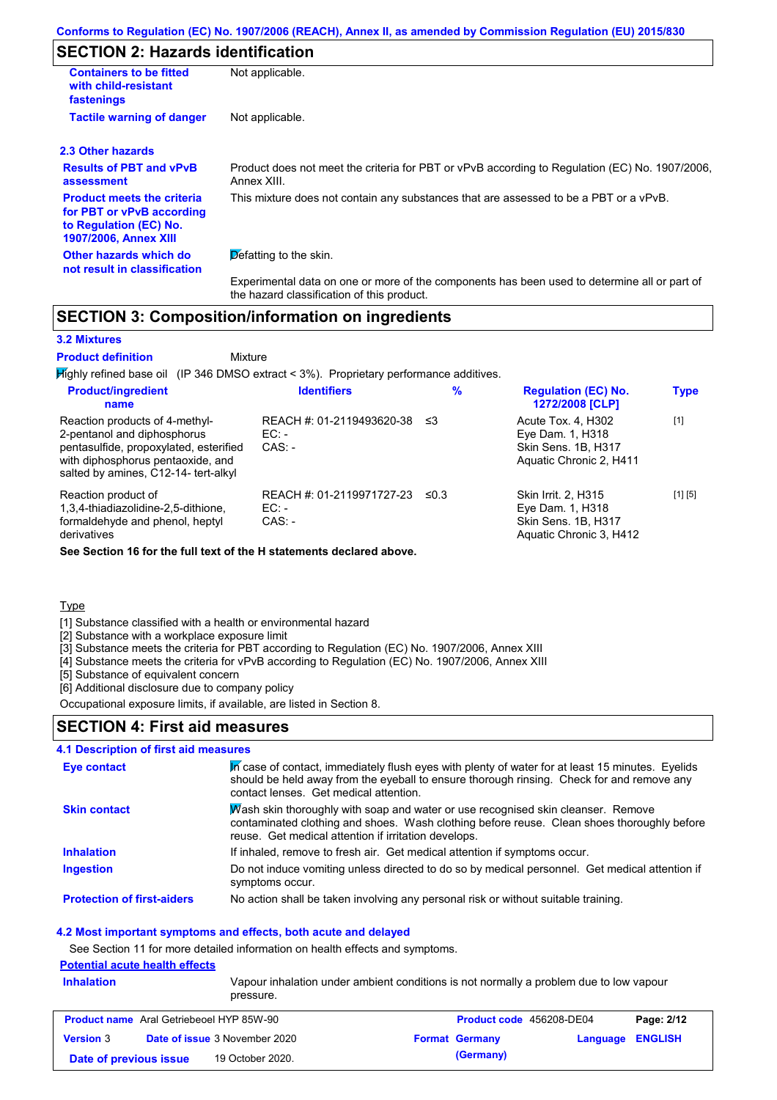# **SECTION 2: Hazards identification**

| <b>Containers to be fitted</b><br>with child-resistant<br>fastenings                                                     | Not applicable.                                                                                                                            |
|--------------------------------------------------------------------------------------------------------------------------|--------------------------------------------------------------------------------------------------------------------------------------------|
| <b>Tactile warning of danger</b>                                                                                         | Not applicable.                                                                                                                            |
| 2.3 Other hazards                                                                                                        |                                                                                                                                            |
| <b>Results of PBT and vPvB</b><br>assessment                                                                             | Product does not meet the criteria for PBT or vPvB according to Regulation (EC) No. 1907/2006.<br>Annex XIII.                              |
| <b>Product meets the criteria</b><br>for PBT or vPvB according<br>to Regulation (EC) No.<br><b>1907/2006, Annex XIII</b> | This mixture does not contain any substances that are assessed to be a PBT or a vPvB.                                                      |
| Other hazards which do<br>not result in classification                                                                   | Defatting to the skin.                                                                                                                     |
|                                                                                                                          | Experimental data on one or more of the components has been used to determine all or part of<br>the hazard classification of this product. |

# **SECTION 3: Composition/information on ingredients**

### **3.2 Mixtures Product definition**

Mixture

Highly refined base oil (IP 346 DMSO extract < 3%). Proprietary performance additives.

| <b>Product/ingredient</b><br>name                                                                                                                                                    | <b>Identifiers</b>                               | $\%$       | <b>Regulation (EC) No.</b><br>1272/2008 [CLP]                                             | <b>Type</b> |
|--------------------------------------------------------------------------------------------------------------------------------------------------------------------------------------|--------------------------------------------------|------------|-------------------------------------------------------------------------------------------|-------------|
| Reaction products of 4-methyl-<br>2-pentanol and diphosphorus<br>pentasulfide, propoxylated, esterified<br>with diphosphorus pentaoxide, and<br>salted by amines, C12-14- tert-alkyl | REACH #: 01-2119493620-38<br>$EC:$ -<br>$CAS: -$ | -≤3        | Acute Tox. 4, H302<br>Eye Dam. 1, H318<br>Skin Sens. 1B, H317<br>Aquatic Chronic 2, H411  | $[1]$       |
| Reaction product of<br>1,3,4-thiadiazolidine-2,5-dithione,<br>formaldehyde and phenol, heptyl<br>derivatives                                                                         | REACH #: 01-2119971727-23<br>$EC:$ -<br>$CAS: -$ | $\leq 0.3$ | Skin Irrit. 2, H315<br>Eye Dam. 1, H318<br>Skin Sens. 1B, H317<br>Aquatic Chronic 3, H412 | [1] [5]     |

**See Section 16 for the full text of the H statements declared above.**

### **Type**

[1] Substance classified with a health or environmental hazard

[2] Substance with a workplace exposure limit

[3] Substance meets the criteria for PBT according to Regulation (EC) No. 1907/2006, Annex XIII

[4] Substance meets the criteria for vPvB according to Regulation (EC) No. 1907/2006, Annex XIII

[5] Substance of equivalent concern

[6] Additional disclosure due to company policy Occupational exposure limits, if available, are listed in Section 8.

# **SECTION 4: First aid measures**

### **4.1 Description of first aid measures**

| Eye contact                       | In case of contact, immediately flush eyes with plenty of water for at least 15 minutes. Eyelids<br>should be held away from the eyeball to ensure thorough rinsing. Check for and remove any<br>contact lenses. Get medical attention. |
|-----------------------------------|-----------------------------------------------------------------------------------------------------------------------------------------------------------------------------------------------------------------------------------------|
| <b>Skin contact</b>               | Wash skin thoroughly with soap and water or use recognised skin cleanser. Remove<br>contaminated clothing and shoes. Wash clothing before reuse. Clean shoes thoroughly before<br>reuse. Get medical attention if irritation develops.  |
| <b>Inhalation</b>                 | If inhaled, remove to fresh air. Get medical attention if symptoms occur.                                                                                                                                                               |
| <b>Ingestion</b>                  | Do not induce vomiting unless directed to do so by medical personnel. Get medical attention if<br>symptoms occur.                                                                                                                       |
| <b>Protection of first-aiders</b> | No action shall be taken involving any personal risk or without suitable training.                                                                                                                                                      |

# **4.2 Most important symptoms and effects, both acute and delayed**

See Section 11 for more detailed information on health effects and symptoms.

# **Potential acute health effects**

| pressure.                                                                                                   |  |
|-------------------------------------------------------------------------------------------------------------|--|
| <b>Inhalation</b><br>Vapour inhalation under ambient conditions is not normally a problem due to low vapour |  |

| <b>Product name</b> Aral Getriebeoel HYP 85W-90 |                                      | <b>Product code</b> 456208-DE04 |                         | Page: 2/12 |
|-------------------------------------------------|--------------------------------------|---------------------------------|-------------------------|------------|
| <b>Version 3</b>                                | <b>Date of issue 3 November 2020</b> | <b>Format Germany</b>           | <b>Language ENGLISH</b> |            |
| Date of previous issue                          | 19 October 2020.                     | (Germany)                       |                         |            |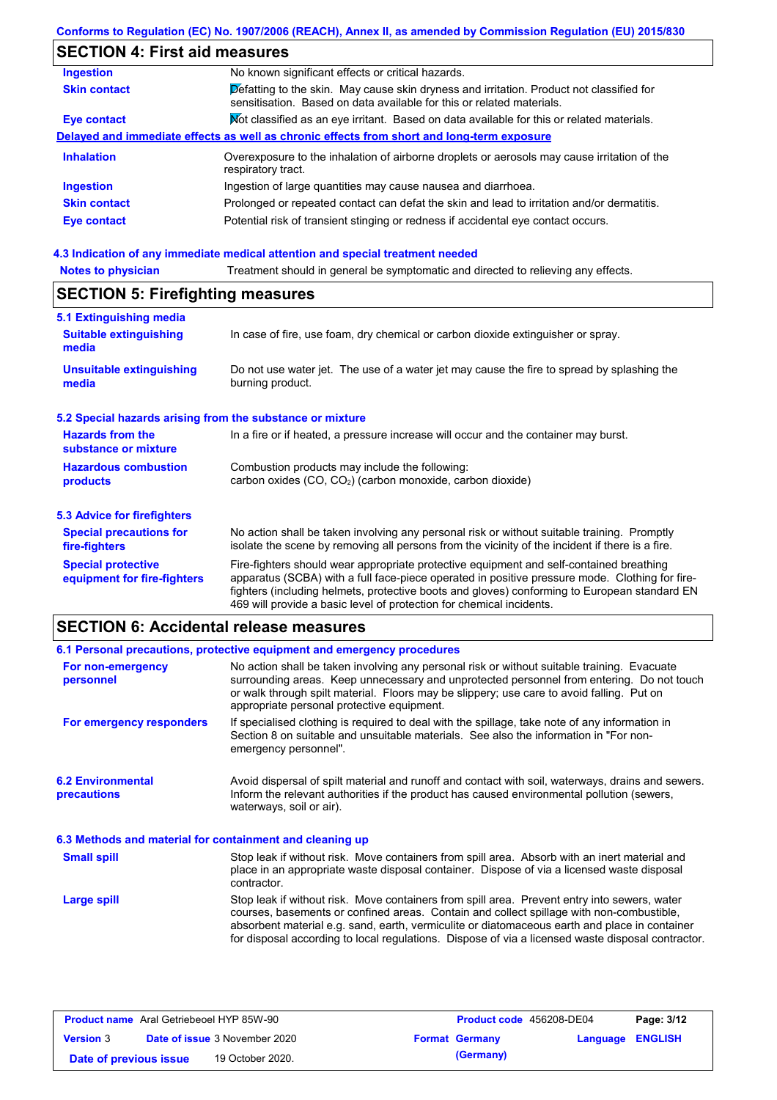# **SECTION 4: First aid measures**

| <b>Ingestion</b>    | No known significant effects or critical hazards.                                                                                                                 |
|---------------------|-------------------------------------------------------------------------------------------------------------------------------------------------------------------|
| <b>Skin contact</b> | Defatting to the skin. May cause skin dryness and irritation. Product not classified for<br>sensitisation. Based on data available for this or related materials. |
| Eye contact         | Mot classified as an eye irritant. Based on data available for this or related materials.                                                                         |
|                     | Delayed and immediate effects as well as chronic effects from short and long-term exposure                                                                        |
| <b>Inhalation</b>   | Overexposure to the inhalation of airborne droplets or aerosols may cause irritation of the<br>respiratory tract.                                                 |
| <b>Ingestion</b>    | Ingestion of large quantities may cause nausea and diarrhoea.                                                                                                     |
| <b>Skin contact</b> | Prolonged or repeated contact can defat the skin and lead to irritation and/or dermatitis.                                                                        |
| Eye contact         | Potential risk of transient stinging or redness if accidental eye contact occurs.                                                                                 |
|                     |                                                                                                                                                                   |

### **4.3 Indication of any immediate medical attention and special treatment needed**

| <b>Notes to physician</b> | Treatment should in general be symptomatic and directed to relieving any effects. |
|---------------------------|-----------------------------------------------------------------------------------|
|---------------------------|-----------------------------------------------------------------------------------|

# **SECTION 5: Firefighting measures**

| 5.1 Extinguishing media                                   |                                                                                                                                                                                                                                                                                                                                                                   |
|-----------------------------------------------------------|-------------------------------------------------------------------------------------------------------------------------------------------------------------------------------------------------------------------------------------------------------------------------------------------------------------------------------------------------------------------|
| <b>Suitable extinguishing</b><br>media                    | In case of fire, use foam, dry chemical or carbon dioxide extinguisher or spray.                                                                                                                                                                                                                                                                                  |
| <b>Unsuitable extinguishing</b><br>media                  | Do not use water jet. The use of a water jet may cause the fire to spread by splashing the<br>burning product.                                                                                                                                                                                                                                                    |
| 5.2 Special hazards arising from the substance or mixture |                                                                                                                                                                                                                                                                                                                                                                   |
| <b>Hazards from the</b><br>substance or mixture           | In a fire or if heated, a pressure increase will occur and the container may burst.                                                                                                                                                                                                                                                                               |
| <b>Hazardous combustion</b><br>products                   | Combustion products may include the following:<br>carbon oxides $(CO, CO2)$ (carbon monoxide, carbon dioxide)                                                                                                                                                                                                                                                     |
| 5.3 Advice for firefighters                               |                                                                                                                                                                                                                                                                                                                                                                   |
| <b>Special precautions for</b><br>fire-fighters           | No action shall be taken involving any personal risk or without suitable training. Promptly<br>isolate the scene by removing all persons from the vicinity of the incident if there is a fire.                                                                                                                                                                    |
| <b>Special protective</b><br>equipment for fire-fighters  | Fire-fighters should wear appropriate protective equipment and self-contained breathing<br>apparatus (SCBA) with a full face-piece operated in positive pressure mode. Clothing for fire-<br>fighters (including helmets, protective boots and gloves) conforming to European standard EN<br>469 will provide a basic level of protection for chemical incidents. |

# **SECTION 6: Accidental release measures**

|                                                          | 6.1 Personal precautions, protective equipment and emergency procedures                                                                                                                                                                                                                                                             |  |  |
|----------------------------------------------------------|-------------------------------------------------------------------------------------------------------------------------------------------------------------------------------------------------------------------------------------------------------------------------------------------------------------------------------------|--|--|
| For non-emergency<br>personnel                           | No action shall be taken involving any personal risk or without suitable training. Evacuate<br>surrounding areas. Keep unnecessary and unprotected personnel from entering. Do not touch<br>or walk through spilt material. Floors may be slippery; use care to avoid falling. Put on<br>appropriate personal protective equipment. |  |  |
| For emergency responders                                 | If specialised clothing is required to deal with the spillage, take note of any information in<br>Section 8 on suitable and unsuitable materials. See also the information in "For non-<br>emergency personnel".                                                                                                                    |  |  |
| <b>6.2 Environmental</b><br><b>precautions</b>           | Avoid dispersal of spilt material and runoff and contact with soil, waterways, drains and sewers.<br>Inform the relevant authorities if the product has caused environmental pollution (sewers,<br>waterways, soil or air).                                                                                                         |  |  |
| 6.3 Methods and material for containment and cleaning up |                                                                                                                                                                                                                                                                                                                                     |  |  |
| <b>Small spill</b>                                       | Stop leak if without risk. Move containers from spill area. Absorb with an inert material and<br>place in an appropriate waste disposal container. Dispose of via a licensed waste disposal<br>contractor.                                                                                                                          |  |  |
| Large spill                                              | Stop leak if without risk. Move containers from spill area. Prevent entry into sewers, water<br>courses, basements or confined areas. Contain and collect spillage with non-combustible,<br>absorbent material e.g. sand, earth, vermiculite or diatomaceous earth and place in container                                           |  |  |

| <b>Product name</b> Aral Getriebeoel HYP 85W-90 |  |                                      | <b>Product code</b> 456208-DE04 | Page: 3/12            |                         |  |
|-------------------------------------------------|--|--------------------------------------|---------------------------------|-----------------------|-------------------------|--|
| <b>Version 3</b>                                |  | <b>Date of issue 3 November 2020</b> |                                 | <b>Format Germany</b> | <b>Language ENGLISH</b> |  |
| Date of previous issue                          |  | 19 October 2020.                     |                                 | (Germany)             |                         |  |

for disposal according to local regulations. Dispose of via a licensed waste disposal contractor.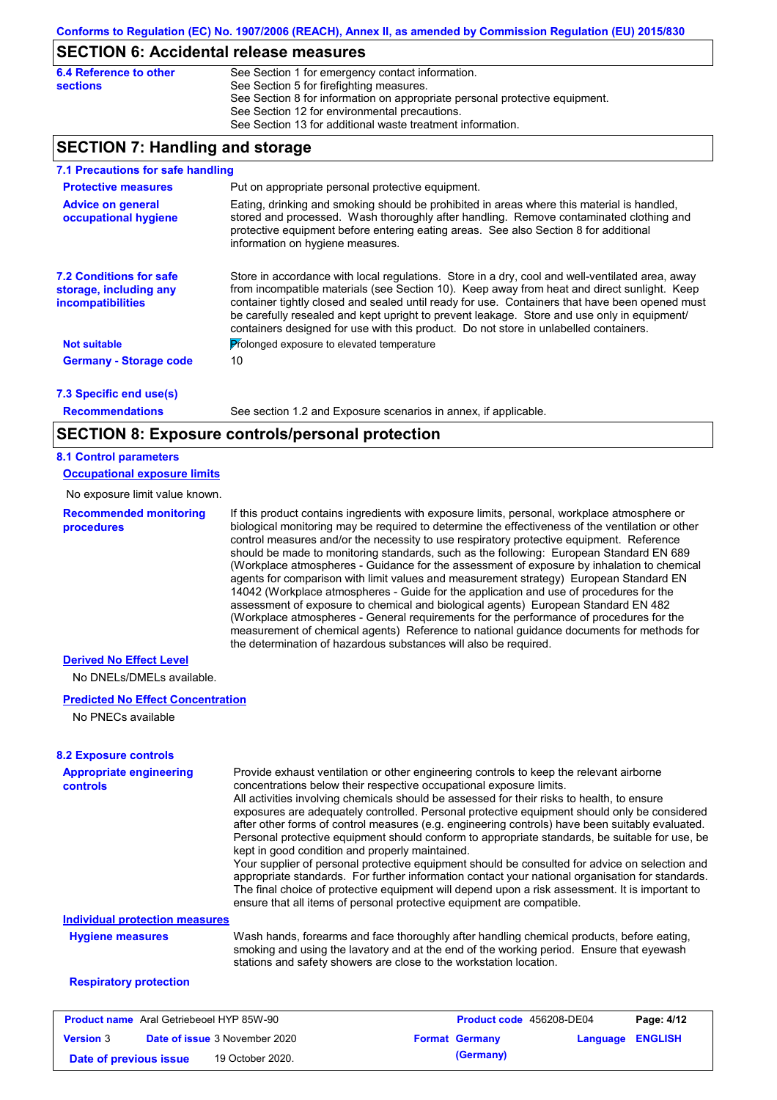# **SECTION 6: Accidental release measures**

| 6.4 Reference to other | See Section 1 for emergency contact information.                            |
|------------------------|-----------------------------------------------------------------------------|
| sections               | See Section 5 for firefighting measures.                                    |
|                        | See Section 8 for information on appropriate personal protective equipment. |
|                        | See Section 12 for environmental precautions.                               |
|                        | See Section 13 for additional waste treatment information.                  |

# **SECTION 7: Handling and storage**

| 7.1 Precautions for safe handling                                             |                                                                                                                                                                                                                                                                                                                                                                                                                                                                                          |
|-------------------------------------------------------------------------------|------------------------------------------------------------------------------------------------------------------------------------------------------------------------------------------------------------------------------------------------------------------------------------------------------------------------------------------------------------------------------------------------------------------------------------------------------------------------------------------|
| <b>Protective measures</b>                                                    | Put on appropriate personal protective equipment.                                                                                                                                                                                                                                                                                                                                                                                                                                        |
| <b>Advice on general</b><br>occupational hygiene                              | Eating, drinking and smoking should be prohibited in areas where this material is handled,<br>stored and processed. Wash thoroughly after handling. Remove contaminated clothing and<br>protective equipment before entering eating areas. See also Section 8 for additional<br>information on hygiene measures.                                                                                                                                                                         |
| <b>7.2 Conditions for safe</b><br>storage, including any<br>incompatibilities | Store in accordance with local requiations. Store in a dry, cool and well-ventilated area, away<br>from incompatible materials (see Section 10). Keep away from heat and direct sunlight. Keep<br>container tightly closed and sealed until ready for use. Containers that have been opened must<br>be carefully resealed and kept upright to prevent leakage. Store and use only in equipment/<br>containers designed for use with this product. Do not store in unlabelled containers. |
| <b>Not suitable</b>                                                           | Prolonged exposure to elevated temperature                                                                                                                                                                                                                                                                                                                                                                                                                                               |
| <b>Germany - Storage code</b>                                                 | 10                                                                                                                                                                                                                                                                                                                                                                                                                                                                                       |
| 7.3 Specific end use(s)                                                       |                                                                                                                                                                                                                                                                                                                                                                                                                                                                                          |

**Recommendations**

See section 1.2 and Exposure scenarios in annex, if applicable.

# **SECTION 8: Exposure controls/personal protection**

# **8.1 Control parameters**

**Occupational exposure limits**

No exposure limit value known.

**Recommended monitoring procedures** If this product contains ingredients with exposure limits, personal, workplace atmosphere or biological monitoring may be required to determine the effectiveness of the ventilation or other control measures and/or the necessity to use respiratory protective equipment. Reference should be made to monitoring standards, such as the following: European Standard EN 689 (Workplace atmospheres - Guidance for the assessment of exposure by inhalation to chemical agents for comparison with limit values and measurement strategy) European Standard EN 14042 (Workplace atmospheres - Guide for the application and use of procedures for the assessment of exposure to chemical and biological agents) European Standard EN 482 (Workplace atmospheres - General requirements for the performance of procedures for the measurement of chemical agents) Reference to national guidance documents for methods for the determination of hazardous substances will also be required.

### **Derived No Effect Level**

No DNELs/DMELs available.

### **Predicted No Effect Concentration**

No PNECs available

### **8.2 Exposure controls**

| <b>Appropriate engineering</b> | Provide exhaust ventilation or other engineering controls to keep the relevant airborne                                                                                                                                                                                       |
|--------------------------------|-------------------------------------------------------------------------------------------------------------------------------------------------------------------------------------------------------------------------------------------------------------------------------|
| <b>controls</b>                | concentrations below their respective occupational exposure limits.                                                                                                                                                                                                           |
|                                | All activities involving chemicals should be assessed for their risks to health, to ensure                                                                                                                                                                                    |
|                                | exposures are adequately controlled. Personal protective equipment should only be considered                                                                                                                                                                                  |
|                                | after other forms of control measures (e.g. engineering controls) have been suitably evaluated.                                                                                                                                                                               |
|                                | Personal protective equipment should conform to appropriate standards, be suitable for use, be<br>kept in good condition and properly maintained.                                                                                                                             |
|                                | Your supplier of personal protective equipment should be consulted for advice on selection and                                                                                                                                                                                |
|                                | appropriate standards. For further information contact your national organisation for standards.<br>The final choice of protective equipment will depend upon a risk assessment. It is important to<br>ensure that all items of personal protective equipment are compatible. |
| Individual protection measures |                                                                                                                                                                                                                                                                               |
| <b>Hygiene measures</b>        | Wash hands, forearms and face thoroughly after handling chemical products, before eating,<br>smoking and using the lavatory and at the end of the working period. Ensure that eyewash<br>stations and safety showers are close to the workstation location.                   |
| <b>Respiratory protection</b>  |                                                                                                                                                                                                                                                                               |

| <b>Product name</b> Aral Getriebeoel HYP 85W-90 |  |                                      |                       | <b>Product code</b> 456208-DE04 | Page: 4/12 |
|-------------------------------------------------|--|--------------------------------------|-----------------------|---------------------------------|------------|
| <b>Version 3</b>                                |  | <b>Date of issue 3 November 2020</b> | <b>Format Germany</b> | <b>Language ENGLISH</b>         |            |
| Date of previous issue                          |  | 19 October 2020.                     | (Germany)             |                                 |            |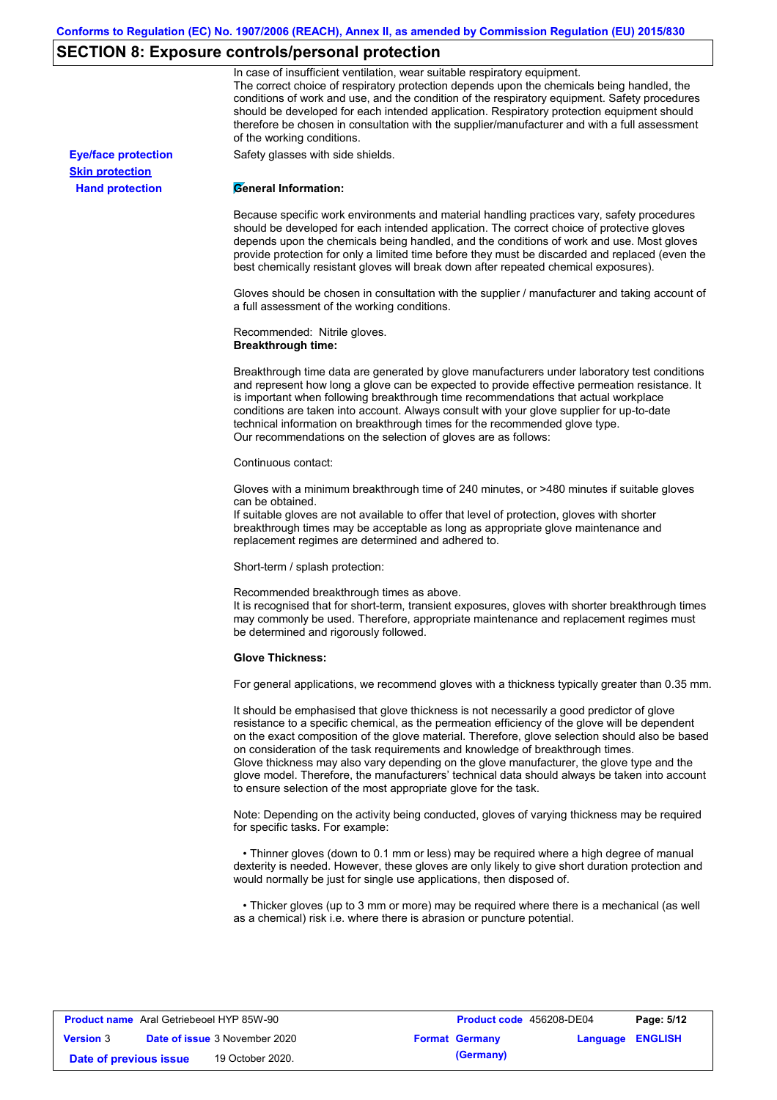# **SECTION 8: Exposure controls/personal protection**

**Hand protection**

**Skin protection**

In case of insufficient ventilation, wear suitable respiratory equipment. The correct choice of respiratory protection depends upon the chemicals being handled, the conditions of work and use, and the condition of the respiratory equipment. Safety procedures should be developed for each intended application. Respiratory protection equipment should therefore be chosen in consultation with the supplier/manufacturer and with a full assessment of the working conditions.

**Eye/face protection** Safety glasses with side shields.

#### **General Information:**

Because specific work environments and material handling practices vary, safety procedures should be developed for each intended application. The correct choice of protective gloves depends upon the chemicals being handled, and the conditions of work and use. Most gloves provide protection for only a limited time before they must be discarded and replaced (even the best chemically resistant gloves will break down after repeated chemical exposures).

Gloves should be chosen in consultation with the supplier / manufacturer and taking account of a full assessment of the working conditions.

Recommended: Nitrile gloves. **Breakthrough time:**

Breakthrough time data are generated by glove manufacturers under laboratory test conditions and represent how long a glove can be expected to provide effective permeation resistance. It is important when following breakthrough time recommendations that actual workplace conditions are taken into account. Always consult with your glove supplier for up-to-date technical information on breakthrough times for the recommended glove type. Our recommendations on the selection of gloves are as follows:

#### Continuous contact:

Gloves with a minimum breakthrough time of 240 minutes, or >480 minutes if suitable gloves can be obtained.

If suitable gloves are not available to offer that level of protection, gloves with shorter breakthrough times may be acceptable as long as appropriate glove maintenance and replacement regimes are determined and adhered to.

Short-term / splash protection:

Recommended breakthrough times as above.

It is recognised that for short-term, transient exposures, gloves with shorter breakthrough times may commonly be used. Therefore, appropriate maintenance and replacement regimes must be determined and rigorously followed.

#### **Glove Thickness:**

For general applications, we recommend gloves with a thickness typically greater than 0.35 mm.

It should be emphasised that glove thickness is not necessarily a good predictor of glove resistance to a specific chemical, as the permeation efficiency of the glove will be dependent on the exact composition of the glove material. Therefore, glove selection should also be based on consideration of the task requirements and knowledge of breakthrough times. Glove thickness may also vary depending on the glove manufacturer, the glove type and the glove model. Therefore, the manufacturers' technical data should always be taken into account to ensure selection of the most appropriate glove for the task.

Note: Depending on the activity being conducted, gloves of varying thickness may be required for specific tasks. For example:

 • Thinner gloves (down to 0.1 mm or less) may be required where a high degree of manual dexterity is needed. However, these gloves are only likely to give short duration protection and would normally be just for single use applications, then disposed of.

 • Thicker gloves (up to 3 mm or more) may be required where there is a mechanical (as well as a chemical) risk i.e. where there is abrasion or puncture potential.

| <b>Product name</b> Aral Getriebeoel HYP 85W-90 |  |                                      | <b>Product code</b> 456208-DE04 | Page: 5/12            |                         |  |
|-------------------------------------------------|--|--------------------------------------|---------------------------------|-----------------------|-------------------------|--|
| <b>Version 3</b>                                |  | <b>Date of issue</b> 3 November 2020 |                                 | <b>Format Germany</b> | <b>Language ENGLISH</b> |  |
| Date of previous issue                          |  | 19 October 2020.                     |                                 | (Germany)             |                         |  |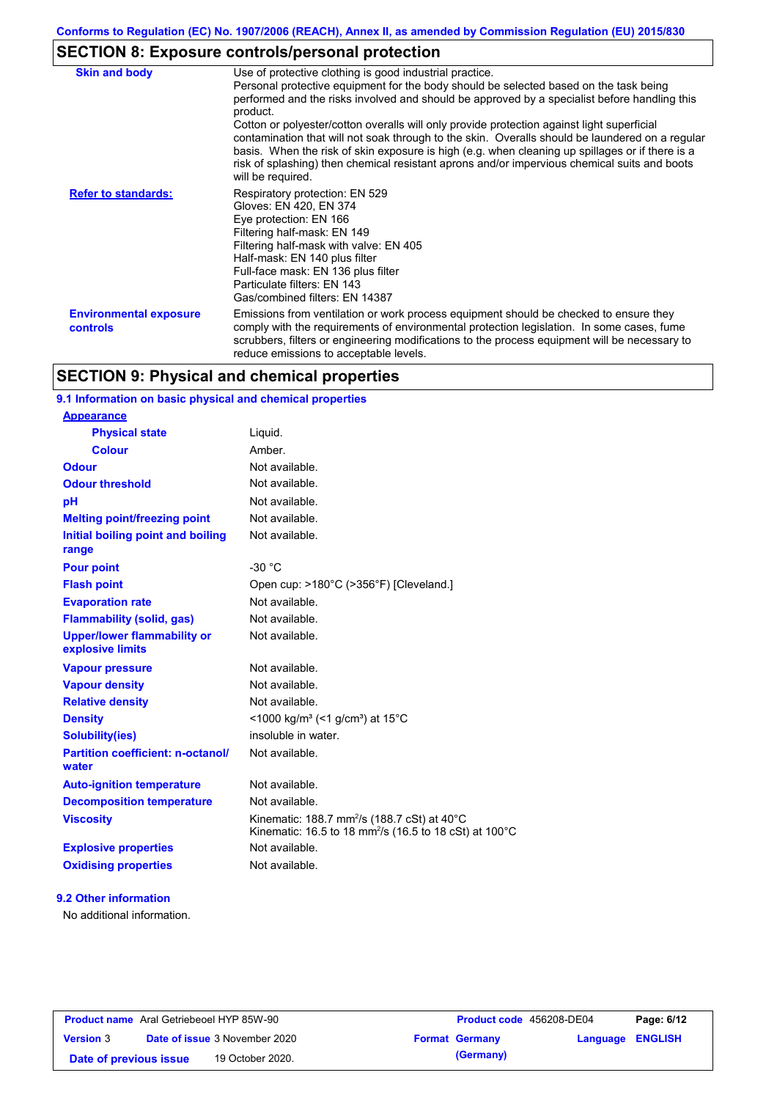# **SECTION 8: Exposure controls/personal protection**

| <b>Skin and body</b>                             | Use of protective clothing is good industrial practice.<br>Personal protective equipment for the body should be selected based on the task being<br>performed and the risks involved and should be approved by a specialist before handling this<br>product.<br>Cotton or polyester/cotton overalls will only provide protection against light superficial<br>contamination that will not soak through to the skin. Overalls should be laundered on a regular<br>basis. When the risk of skin exposure is high (e.g. when cleaning up spillages or if there is a<br>risk of splashing) then chemical resistant aprons and/or impervious chemical suits and boots<br>will be required. |
|--------------------------------------------------|---------------------------------------------------------------------------------------------------------------------------------------------------------------------------------------------------------------------------------------------------------------------------------------------------------------------------------------------------------------------------------------------------------------------------------------------------------------------------------------------------------------------------------------------------------------------------------------------------------------------------------------------------------------------------------------|
| <b>Refer to standards:</b>                       | Respiratory protection: EN 529<br>Gloves: EN 420, EN 374<br>Eye protection: EN 166<br>Filtering half-mask: EN 149<br>Filtering half-mask with valve: EN 405<br>Half-mask: EN 140 plus filter<br>Full-face mask: EN 136 plus filter<br>Particulate filters: EN 143<br>Gas/combined filters: EN 14387                                                                                                                                                                                                                                                                                                                                                                                   |
| <b>Environmental exposure</b><br><b>controls</b> | Emissions from ventilation or work process equipment should be checked to ensure they<br>comply with the requirements of environmental protection legislation. In some cases, fume<br>scrubbers, filters or engineering modifications to the process equipment will be necessary to<br>reduce emissions to acceptable levels.                                                                                                                                                                                                                                                                                                                                                         |

# **SECTION 9: Physical and chemical properties**

# **9.1 Information on basic physical and chemical properties**

| <b>Appearance</b>                                      |                                                                                                                                          |
|--------------------------------------------------------|------------------------------------------------------------------------------------------------------------------------------------------|
| <b>Physical state</b>                                  | Liquid.                                                                                                                                  |
| <b>Colour</b>                                          | Amber.                                                                                                                                   |
| <b>Odour</b>                                           | Not available.                                                                                                                           |
| <b>Odour threshold</b>                                 | Not available.                                                                                                                           |
| pH                                                     | Not available.                                                                                                                           |
| <b>Melting point/freezing point</b>                    | Not available.                                                                                                                           |
| Initial boiling point and boiling<br>range             | Not available.                                                                                                                           |
| <b>Pour point</b>                                      | $-30 °C$                                                                                                                                 |
| <b>Flash point</b>                                     | Open cup: >180°C (>356°F) [Cleveland.]                                                                                                   |
| <b>Evaporation rate</b>                                | Not available.                                                                                                                           |
| <b>Flammability (solid, gas)</b>                       | Not available.                                                                                                                           |
| <b>Upper/lower flammability or</b><br>explosive limits | Not available.                                                                                                                           |
| <b>Vapour pressure</b>                                 | Not available.                                                                                                                           |
| <b>Vapour density</b>                                  | Not available.                                                                                                                           |
| <b>Relative density</b>                                | Not available.                                                                                                                           |
| <b>Density</b>                                         | <1000 kg/m <sup>3</sup> (<1 g/cm <sup>3</sup> ) at 15 <sup>°</sup> C                                                                     |
| <b>Solubility(ies)</b>                                 | insoluble in water.                                                                                                                      |
| <b>Partition coefficient: n-octanol/</b><br>water      | Not available.                                                                                                                           |
| <b>Auto-ignition temperature</b>                       | Not available.                                                                                                                           |
| <b>Decomposition temperature</b>                       | Not available.                                                                                                                           |
| <b>Viscosity</b>                                       | Kinematic: 188.7 mm <sup>2</sup> /s (188.7 cSt) at 40 $^{\circ}$ C<br>Kinematic: 16.5 to 18 mm <sup>2</sup> /s (16.5 to 18 cSt) at 100°C |
| <b>Explosive properties</b>                            | Not available.                                                                                                                           |
| <b>Oxidising properties</b>                            | Not available.                                                                                                                           |
|                                                        |                                                                                                                                          |

# **9.2 Other information**

No additional information.

| <b>Product name</b> Aral Getriebeoel HYP 85W-90 |                                      |                  | <b>Product code</b> 456208-DE04 | Page: 6/12       |
|-------------------------------------------------|--------------------------------------|------------------|---------------------------------|------------------|
| <b>Version 3</b>                                | <b>Date of issue 3 November 2020</b> |                  | <b>Format Germany</b>           | Language ENGLISH |
| Date of previous issue                          |                                      | 19 October 2020. | (Germany)                       |                  |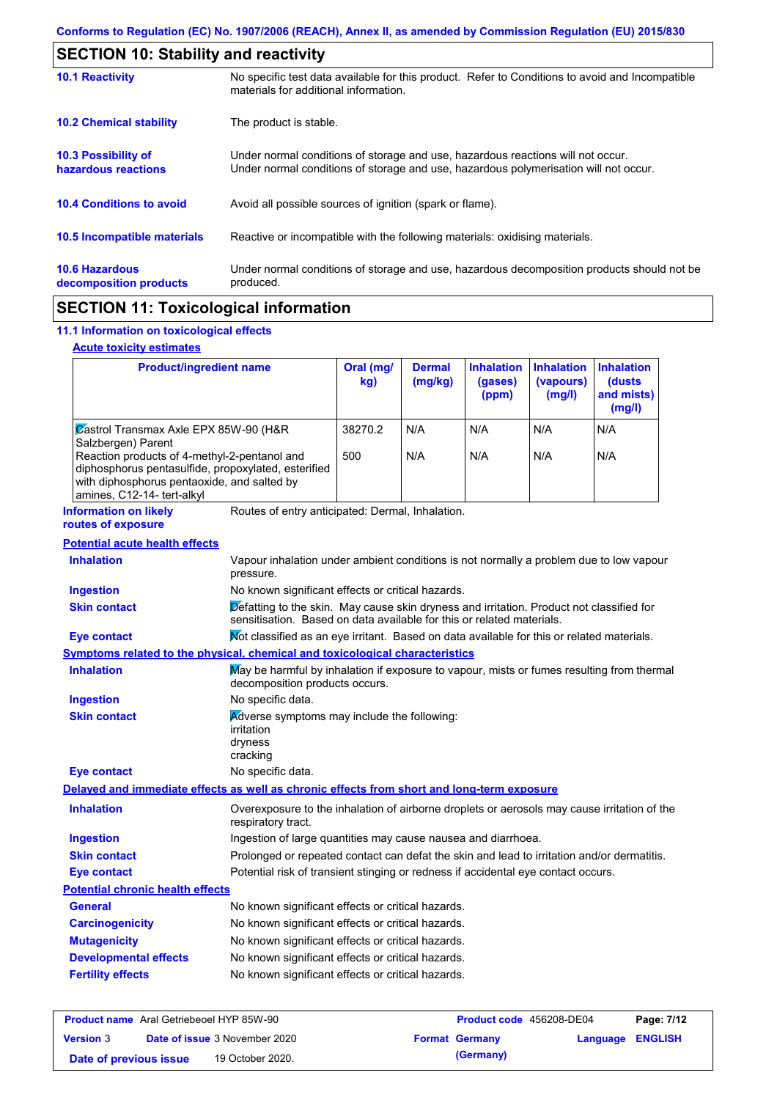| <b>SECTION 10: Stability and reactivity</b>                                                                                                                |                                                                                                                                                                         |  |  |
|------------------------------------------------------------------------------------------------------------------------------------------------------------|-------------------------------------------------------------------------------------------------------------------------------------------------------------------------|--|--|
| <b>10.1 Reactivity</b>                                                                                                                                     | No specific test data available for this product. Refer to Conditions to avoid and Incompatible<br>materials for additional information.                                |  |  |
| <b>10.2 Chemical stability</b>                                                                                                                             | The product is stable.                                                                                                                                                  |  |  |
| <b>10.3 Possibility of</b><br>hazardous reactions                                                                                                          | Under normal conditions of storage and use, hazardous reactions will not occur.<br>Under normal conditions of storage and use, hazardous polymerisation will not occur. |  |  |
| <b>10.4 Conditions to avoid</b><br>Avoid all possible sources of ignition (spark or flame).                                                                |                                                                                                                                                                         |  |  |
| 10.5 Incompatible materials                                                                                                                                | Reactive or incompatible with the following materials: oxidising materials.                                                                                             |  |  |
| <b>10.6 Hazardous</b><br>Under normal conditions of storage and use, hazardous decomposition products should not be<br>produced.<br>decomposition products |                                                                                                                                                                         |  |  |
|                                                                                                                                                            |                                                                                                                                                                         |  |  |

# **SECTION 11: Toxicological information**

# **11.1 Information on toxicological effects**

## **Acute toxicity estimates**

| <b>Product/ingredient name</b>                                                                                                                                                   | Oral (mg/<br>kg) | <b>Dermal</b><br>(mg/kg) | <b>Inhalation</b><br>(gases)<br>(ppm) | <b>Inhalation</b><br>(vapours)<br>(mg/l) | <b>Inhalation</b><br>(dusts)<br>and mists)<br>(mg/l) |
|----------------------------------------------------------------------------------------------------------------------------------------------------------------------------------|------------------|--------------------------|---------------------------------------|------------------------------------------|------------------------------------------------------|
| Zastrol Transmax Axle EPX 85W-90 (H&R<br>Salzbergen) Parent                                                                                                                      | 38270.2          | N/A                      | N/A                                   | N/A                                      | N/A                                                  |
| Reaction products of 4-methyl-2-pentanol and<br>diphosphorus pentasulfide, propoxylated, esterified<br>with diphosphorus pentaoxide, and salted by<br>amines, C12-14- tert-alkyl | 500              | N/A                      | N/A                                   | N/A                                      | N/A                                                  |

### **Information on likely routes of exposure**

Routes of entry anticipated: Dermal, Inhalation.

### **Potential acute health effects**

| Potential acute nealth effects          |                                                                                                                                                                   |  |  |  |
|-----------------------------------------|-------------------------------------------------------------------------------------------------------------------------------------------------------------------|--|--|--|
| <b>Inhalation</b>                       | Vapour inhalation under ambient conditions is not normally a problem due to low vapour<br>pressure.                                                               |  |  |  |
| <b>Ingestion</b>                        | No known significant effects or critical hazards.                                                                                                                 |  |  |  |
| <b>Skin contact</b>                     | Defatting to the skin. May cause skin dryness and irritation. Product not classified for<br>sensitisation. Based on data available for this or related materials. |  |  |  |
| <b>Eye contact</b>                      | Not classified as an eye irritant. Based on data available for this or related materials.                                                                         |  |  |  |
|                                         | Symptoms related to the physical, chemical and toxicological characteristics                                                                                      |  |  |  |
| <b>Inhalation</b>                       | May be harmful by inhalation if exposure to vapour, mists or fumes resulting from thermal<br>decomposition products occurs.                                       |  |  |  |
| <b>Ingestion</b>                        | No specific data.                                                                                                                                                 |  |  |  |
| <b>Skin contact</b>                     | Adverse symptoms may include the following:<br>irritation<br>dryness<br>cracking                                                                                  |  |  |  |
| <b>Eye contact</b>                      | No specific data.                                                                                                                                                 |  |  |  |
|                                         | Delayed and immediate effects as well as chronic effects from short and long-term exposure                                                                        |  |  |  |
| <b>Inhalation</b>                       | Overexposure to the inhalation of airborne droplets or aerosols may cause irritation of the<br>respiratory tract.                                                 |  |  |  |
| <b>Ingestion</b>                        | Ingestion of large quantities may cause nausea and diarrhoea.                                                                                                     |  |  |  |
| <b>Skin contact</b>                     | Prolonged or repeated contact can defat the skin and lead to irritation and/or dermatitis.                                                                        |  |  |  |
| <b>Eye contact</b>                      | Potential risk of transient stinging or redness if accidental eye contact occurs.                                                                                 |  |  |  |
| <b>Potential chronic health effects</b> |                                                                                                                                                                   |  |  |  |
| <b>General</b>                          | No known significant effects or critical hazards.                                                                                                                 |  |  |  |
| <b>Carcinogenicity</b>                  | No known significant effects or critical hazards.                                                                                                                 |  |  |  |
| <b>Mutagenicity</b>                     | No known significant effects or critical hazards.                                                                                                                 |  |  |  |
| <b>Developmental effects</b>            | No known significant effects or critical hazards.                                                                                                                 |  |  |  |
| <b>Fertility effects</b>                | No known significant effects or critical hazards.                                                                                                                 |  |  |  |
|                                         |                                                                                                                                                                   |  |  |  |

| <b>Product name</b> Aral Getriebeoel HYP 85W-90 |                                      | <b>Product code</b> 456208-DE04 |                  | Page: 7/12 |
|-------------------------------------------------|--------------------------------------|---------------------------------|------------------|------------|
| <b>Version 3</b>                                | <b>Date of issue 3 November 2020</b> | <b>Format Germany</b>           | Language ENGLISH |            |
| Date of previous issue                          | 19 October 2020.                     | (Germany)                       |                  |            |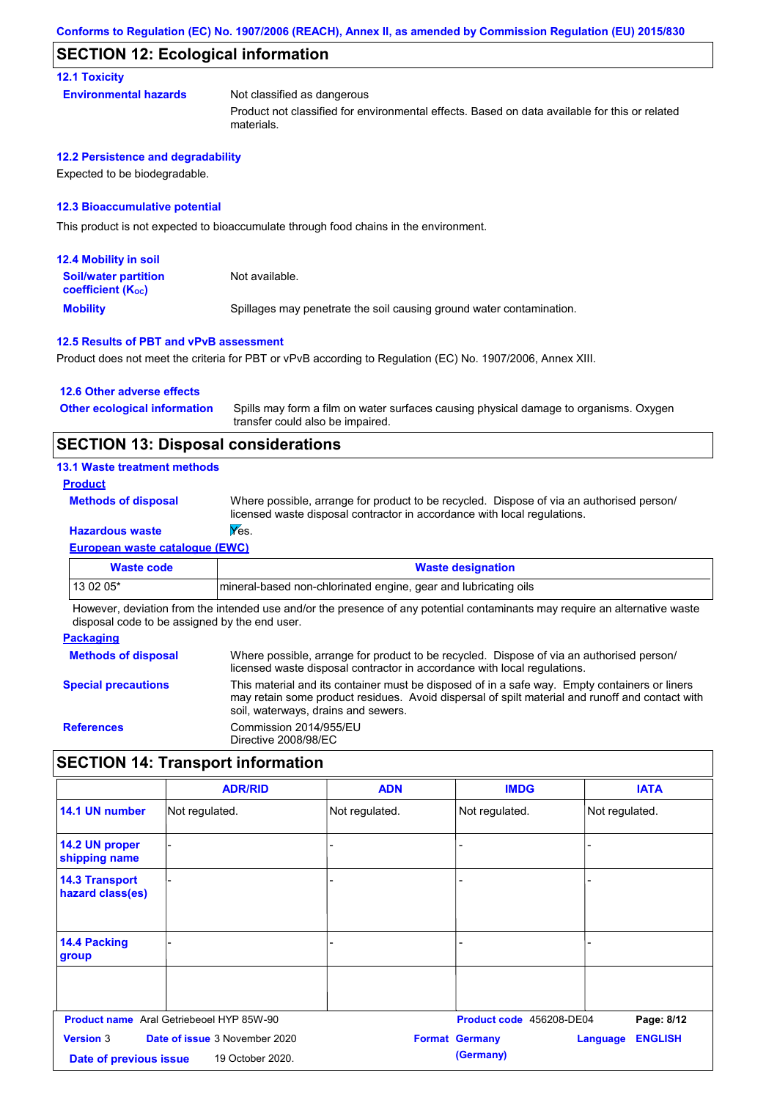# **SECTION 12: Ecological information**

### **12.1 Toxicity**

| Environmental hazards | Not classified as dangerous                                                                   |
|-----------------------|-----------------------------------------------------------------------------------------------|
|                       | Product not classified for environmental effects. Based on data available for this or related |

#### **12.2 Persistence and degradability**

Expected to be biodegradable.

### **12.3 Bioaccumulative potential**

This product is not expected to bioaccumulate through food chains in the environment.

materials.

| <b>12.4 Mobility in soil</b>                                  |                                                                      |
|---------------------------------------------------------------|----------------------------------------------------------------------|
| <b>Soil/water partition</b><br>coefficient (K <sub>oc</sub> ) | Not available.                                                       |
| <b>Mobility</b>                                               | Spillages may penetrate the soil causing ground water contamination. |

### **12.5 Results of PBT and vPvB assessment**

Product does not meet the criteria for PBT or vPvB according to Regulation (EC) No. 1907/2006, Annex XIII.

#### **12.6 Other adverse effects**

Spills may form a film on water surfaces causing physical damage to organisms. Oxygen transfer could also be impaired. **Other ecological information**

# **SECTION 13: Disposal considerations**

#### **13.1 Waste treatment methods**

### **Product**

**Methods of disposal**

Where possible, arrange for product to be recycled. Dispose of via an authorised person/ licensed waste disposal contractor in accordance with local regulations.

# **Hazardous waste Yes.**

**European waste catalogue (EWC)**

| Waste code                                                                                                                 | <b>Waste designation</b>                                        |  |  |
|----------------------------------------------------------------------------------------------------------------------------|-----------------------------------------------------------------|--|--|
| $130205*$                                                                                                                  | mineral-based non-chlorinated engine, gear and lubricating oils |  |  |
| Houeuer deviation from the intended use and/or the presence of any patential contaminante may require an elternative worte |                                                                 |  |  |

However, deviation from the intended use and/or the presence of any potential contaminants may require an alternative waste disposal code to be assigned by the end user.

| <b>Packaging</b>           |                                                                                                                                                                                                                                         |
|----------------------------|-----------------------------------------------------------------------------------------------------------------------------------------------------------------------------------------------------------------------------------------|
| <b>Methods of disposal</b> | Where possible, arrange for product to be recycled. Dispose of via an authorised person/<br>licensed waste disposal contractor in accordance with local regulations.                                                                    |
| <b>Special precautions</b> | This material and its container must be disposed of in a safe way. Empty containers or liners<br>may retain some product residues. Avoid dispersal of spilt material and runoff and contact with<br>soil, waterways, drains and sewers. |
| <b>References</b>          | Commission 2014/955/EU<br>Directive 2008/98/EC                                                                                                                                                                                          |

# **SECTION 14: Transport information**

|                                                                                                                                                                     | <b>ADR/RID</b>                                  | <b>ADN</b>     | <b>IMDG</b>              | <b>IATA</b>    |
|---------------------------------------------------------------------------------------------------------------------------------------------------------------------|-------------------------------------------------|----------------|--------------------------|----------------|
| 14.1 UN number                                                                                                                                                      | Not regulated.                                  | Not regulated. | Not regulated.           | Not regulated. |
| 14.2 UN proper<br>shipping name                                                                                                                                     |                                                 |                |                          |                |
| <b>14.3 Transport</b><br>hazard class(es)                                                                                                                           |                                                 |                |                          |                |
| 14.4 Packing<br>group                                                                                                                                               |                                                 |                |                          |                |
|                                                                                                                                                                     |                                                 |                |                          |                |
|                                                                                                                                                                     | <b>Product name</b> Aral Getriebeoel HYP 85W-90 |                | Product code 456208-DE04 | Page: 8/12     |
| <b>Version 3</b><br>Date of issue 3 November 2020<br><b>ENGLISH</b><br><b>Format Germany</b><br>Language<br>(Germany)<br>19 October 2020.<br>Date of previous issue |                                                 |                |                          |                |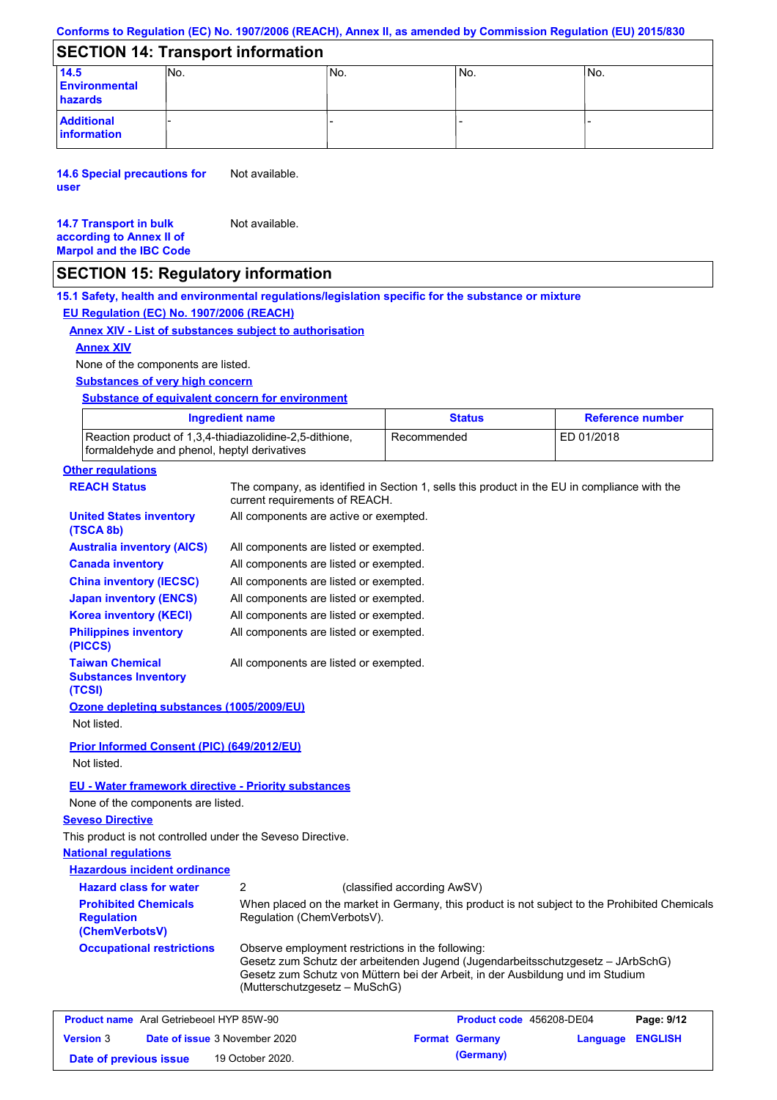# **Conforms to Regulation (EC) No. 1907/2006 (REACH), Annex II, as amended by Commission Regulation (EU) 2015/830**

# **SECTION 14: Transport information**

| 14.5<br><b>Environmental</b><br>hazards | INo. | INo. | IN <sub>o</sub> | No. |
|-----------------------------------------|------|------|-----------------|-----|
| <b>Additional</b><br>information        |      |      |                 |     |

**14.6 Special precautions for user** Not available.

#### **14.7 Transport in bulk according to Annex II of Marpol and the IBC Code** Not available.

# **SECTION 15: Regulatory information**

**15.1 Safety, health and environmental regulations/legislation specific for the substance or mixture EU Regulation (EC) No. 1907/2006 (REACH)**

### **Annex XIV - List of substances subject to authorisation**

#### **Annex XIV**

None of the components are listed.

#### **Substances of very high concern**

### **Substance of equivalent concern for environment**

| Ingredient name                                                                                        | <b>Status</b> | <b>Reference number</b> |
|--------------------------------------------------------------------------------------------------------|---------------|-------------------------|
| Reaction product of 1,3,4-thiadiazolidine-2,5-dithione,<br>formaldehyde and phenol, heptyl derivatives | Recommended   | ED 01/2018              |

# **Other regulations**

| <b>REACH Status</b>                                                | current requirements of REACH.                                                     | The company, as identified in Section 1, sells this product in the EU in compliance with the                                                                      |          |                |
|--------------------------------------------------------------------|------------------------------------------------------------------------------------|-------------------------------------------------------------------------------------------------------------------------------------------------------------------|----------|----------------|
| <b>United States inventory</b><br>(TSCA 8b)                        | All components are active or exempted.                                             |                                                                                                                                                                   |          |                |
| <b>Australia inventory (AICS)</b>                                  | All components are listed or exempted.                                             |                                                                                                                                                                   |          |                |
| <b>Canada inventory</b>                                            | All components are listed or exempted.                                             |                                                                                                                                                                   |          |                |
| <b>China inventory (IECSC)</b>                                     | All components are listed or exempted.                                             |                                                                                                                                                                   |          |                |
| <b>Japan inventory (ENCS)</b>                                      | All components are listed or exempted.                                             |                                                                                                                                                                   |          |                |
| <b>Korea inventory (KECI)</b>                                      | All components are listed or exempted.                                             |                                                                                                                                                                   |          |                |
| <b>Philippines inventory</b><br>(PICCS)                            | All components are listed or exempted.                                             |                                                                                                                                                                   |          |                |
| <b>Taiwan Chemical</b><br><b>Substances Inventory</b><br>(TCSI)    | All components are listed or exempted.                                             |                                                                                                                                                                   |          |                |
| Ozone depleting substances (1005/2009/EU)                          |                                                                                    |                                                                                                                                                                   |          |                |
| Not listed.                                                        |                                                                                    |                                                                                                                                                                   |          |                |
| <b>Prior Informed Consent (PIC) (649/2012/EU)</b><br>Not listed.   |                                                                                    |                                                                                                                                                                   |          |                |
|                                                                    |                                                                                    |                                                                                                                                                                   |          |                |
| EU - Water framework directive - Priority substances               |                                                                                    |                                                                                                                                                                   |          |                |
| None of the components are listed.                                 |                                                                                    |                                                                                                                                                                   |          |                |
| <b>Seveso Directive</b>                                            |                                                                                    |                                                                                                                                                                   |          |                |
| This product is not controlled under the Seveso Directive.         |                                                                                    |                                                                                                                                                                   |          |                |
| <b>National regulations</b>                                        |                                                                                    |                                                                                                                                                                   |          |                |
| <b>Hazardous incident ordinance</b>                                |                                                                                    |                                                                                                                                                                   |          |                |
| <b>Hazard class for water</b>                                      | 2                                                                                  | (classified according AwSV)                                                                                                                                       |          |                |
| <b>Prohibited Chemicals</b><br><b>Regulation</b><br>(ChemVerbotsV) | Regulation (ChemVerbotsV).                                                         | When placed on the market in Germany, this product is not subject to the Prohibited Chemicals                                                                     |          |                |
| <b>Occupational restrictions</b>                                   | Observe employment restrictions in the following:<br>(Mutterschutzgesetz – MuSchG) | Gesetz zum Schutz der arbeitenden Jugend (Jugendarbeitsschutzgesetz - JArbSchG)<br>Gesetz zum Schutz von Müttern bei der Arbeit, in der Ausbildung und im Studium |          |                |
| <b>Product name</b> Aral Getriebeoel HYP 85W-90                    |                                                                                    | Product code 456208-DE04                                                                                                                                          |          | Page: 9/12     |
| <b>Version</b> 3<br>Date of issue 3 November 2020                  |                                                                                    | <b>Format Germany</b>                                                                                                                                             | Language | <b>ENGLISH</b> |

**Date of previous issue 19 October 2020. (Germany)**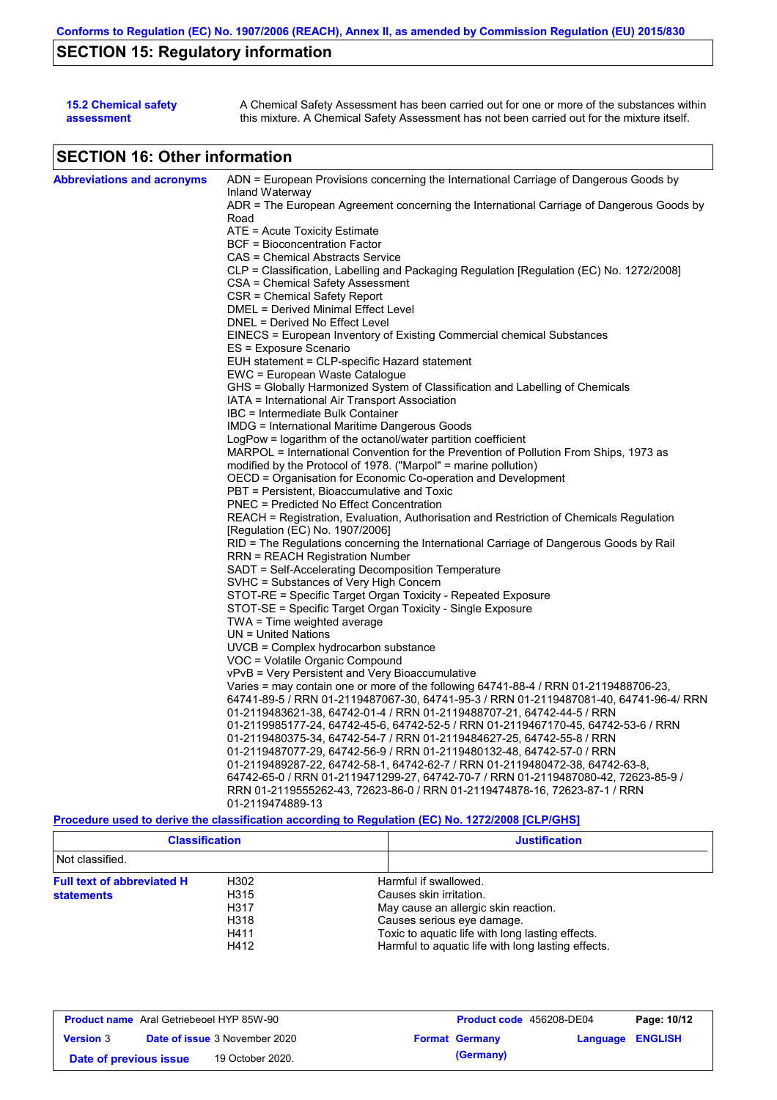# **SECTION 15: Regulatory information**

| <b>15.2 Chemical safety</b> | A Chemical Safety Assessment has been carried out for one or more of the substances within  |
|-----------------------------|---------------------------------------------------------------------------------------------|
| assessment                  | this mixture. A Chemical Safety Assessment has not been carried out for the mixture itself. |

# **SECTION 16: Other information**

| <b>Abbreviations and acronyms</b> | ADN = European Provisions concerning the International Carriage of Dangerous Goods by            |
|-----------------------------------|--------------------------------------------------------------------------------------------------|
|                                   | Inland Waterway                                                                                  |
|                                   | ADR = The European Agreement concerning the International Carriage of Dangerous Goods by         |
|                                   | Road                                                                                             |
|                                   | ATE = Acute Toxicity Estimate<br>BCF = Bioconcentration Factor                                   |
|                                   |                                                                                                  |
|                                   | CAS = Chemical Abstracts Service                                                                 |
|                                   | CLP = Classification, Labelling and Packaging Regulation [Regulation (EC) No. 1272/2008]         |
|                                   | CSA = Chemical Safety Assessment<br>CSR = Chemical Safety Report                                 |
|                                   | DMEL = Derived Minimal Effect Level                                                              |
|                                   | DNEL = Derived No Effect Level                                                                   |
|                                   | EINECS = European Inventory of Existing Commercial chemical Substances                           |
|                                   | ES = Exposure Scenario                                                                           |
|                                   | EUH statement = CLP-specific Hazard statement                                                    |
|                                   | EWC = European Waste Catalogue                                                                   |
|                                   | GHS = Globally Harmonized System of Classification and Labelling of Chemicals                    |
|                                   | IATA = International Air Transport Association                                                   |
|                                   | IBC = Intermediate Bulk Container                                                                |
|                                   | IMDG = International Maritime Dangerous Goods                                                    |
|                                   | LogPow = logarithm of the octanol/water partition coefficient                                    |
|                                   | MARPOL = International Convention for the Prevention of Pollution From Ships, 1973 as            |
|                                   | modified by the Protocol of 1978. ("Marpol" = marine pollution)                                  |
|                                   | OECD = Organisation for Economic Co-operation and Development                                    |
|                                   | PBT = Persistent, Bioaccumulative and Toxic                                                      |
|                                   | <b>PNEC = Predicted No Effect Concentration</b>                                                  |
|                                   | REACH = Registration, Evaluation, Authorisation and Restriction of Chemicals Regulation          |
|                                   | [Regulation (EC) No. 1907/2006]                                                                  |
|                                   | RID = The Regulations concerning the International Carriage of Dangerous Goods by Rail           |
|                                   | RRN = REACH Registration Number                                                                  |
|                                   | SADT = Self-Accelerating Decomposition Temperature                                               |
|                                   | SVHC = Substances of Very High Concern                                                           |
|                                   | STOT-RE = Specific Target Organ Toxicity - Repeated Exposure                                     |
|                                   | STOT-SE = Specific Target Organ Toxicity - Single Exposure                                       |
|                                   | TWA = Time weighted average                                                                      |
|                                   | $UN = United Nations$                                                                            |
|                                   | $UVCB = Complex\;hydrocarbon\; substance$                                                        |
|                                   | VOC = Volatile Organic Compound                                                                  |
|                                   | vPvB = Very Persistent and Very Bioaccumulative                                                  |
|                                   | Varies = may contain one or more of the following 64741-88-4 / RRN 01-2119488706-23,             |
|                                   | 64741-89-5 / RRN 01-2119487067-30, 64741-95-3 / RRN 01-2119487081-40, 64741-96-4/ RRN            |
|                                   | 01-2119483621-38, 64742-01-4 / RRN 01-2119488707-21, 64742-44-5 / RRN                            |
|                                   | 01-2119985177-24, 64742-45-6, 64742-52-5 / RRN 01-2119467170-45, 64742-53-6 / RRN                |
|                                   | 01-2119480375-34, 64742-54-7 / RRN 01-2119484627-25, 64742-55-8 / RRN                            |
|                                   | 01-2119487077-29, 64742-56-9 / RRN 01-2119480132-48, 64742-57-0 / RRN                            |
|                                   | 01-2119489287-22, 64742-58-1, 64742-62-7 / RRN 01-2119480472-38, 64742-63-8,                     |
|                                   | 64742-65-0 / RRN 01-2119471299-27, 64742-70-7 / RRN 01-2119487080-42, 72623-85-9 /               |
|                                   | RRN 01-2119555262-43, 72623-86-0 / RRN 01-2119474878-16, 72623-87-1 / RRN                        |
|                                   | 01-2119474889-13                                                                                 |
|                                   | Procedure used to derive the classification according to Regulation (EC) No. 1272/2008 [CLP/GHS] |

| <b>Classification</b><br>Not classified. |      | <b>Justification</b>                               |  |
|------------------------------------------|------|----------------------------------------------------|--|
|                                          |      |                                                    |  |
| <b>Full text of abbreviated H</b>        | H302 | Harmful if swallowed.                              |  |
| <b>statements</b>                        | H315 | Causes skin irritation.                            |  |
|                                          | H317 | May cause an allergic skin reaction.               |  |
|                                          | H318 | Causes serious eye damage.                         |  |
|                                          | H411 | Toxic to aquatic life with long lasting effects.   |  |
|                                          | H412 | Harmful to aquatic life with long lasting effects. |  |

| <b>Product name</b> Aral Getriebeoel HYP 85W-90 |  |                                      | <b>Product code</b> 456208-DE04 |                       | Page: 10/12      |  |
|-------------------------------------------------|--|--------------------------------------|---------------------------------|-----------------------|------------------|--|
| <b>Version 3</b>                                |  | <b>Date of issue 3 November 2020</b> |                                 | <b>Format Germany</b> | Language ENGLISH |  |
| Date of previous issue                          |  | 19 October 2020.                     |                                 | (Germany)             |                  |  |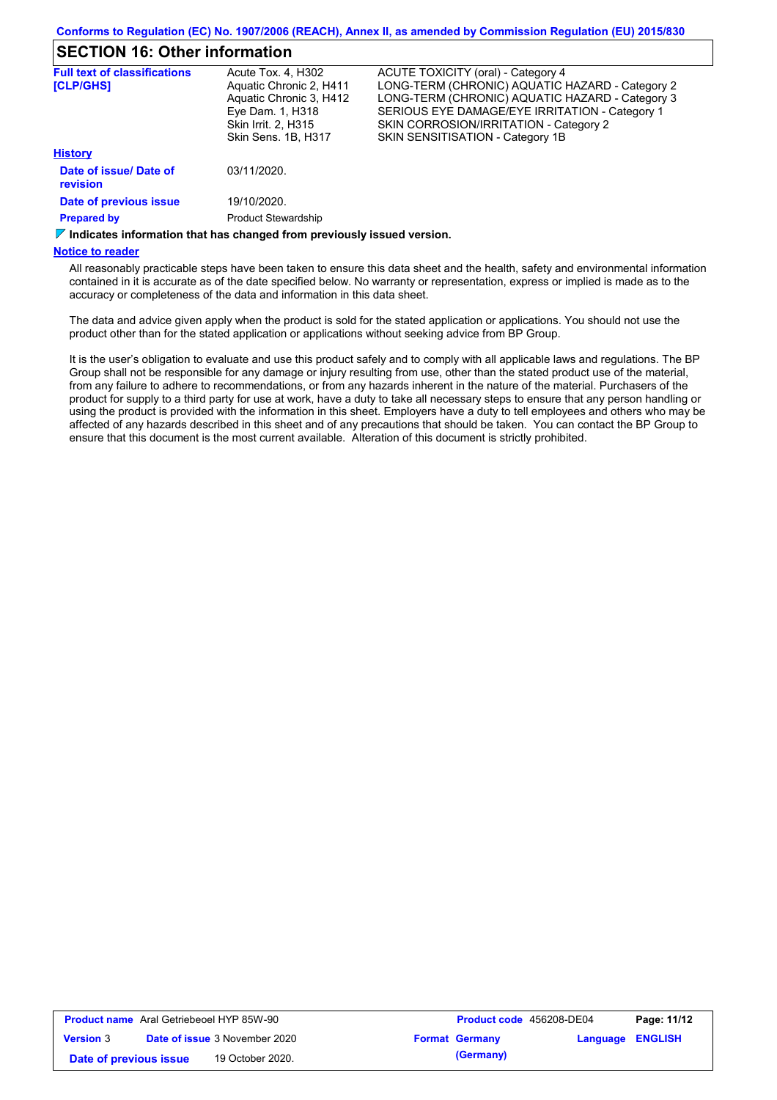# **SECTION 16: Other information**

| <b>Full text of classifications</b>       | Acute Tox. 4, H302         | ACUTE TOXICITY (oral) - Category 4              |
|-------------------------------------------|----------------------------|-------------------------------------------------|
| <b>[CLP/GHS]</b>                          | Aquatic Chronic 2, H411    | LONG-TERM (CHRONIC) AQUATIC HAZARD - Category 2 |
|                                           | Aquatic Chronic 3, H412    | LONG-TERM (CHRONIC) AQUATIC HAZARD - Category 3 |
|                                           | Eye Dam. 1, H318           | SERIOUS EYE DAMAGE/EYE IRRITATION - Category 1  |
|                                           | Skin Irrit. 2, H315        | SKIN CORROSION/IRRITATION - Category 2          |
|                                           | Skin Sens, 1B, H317        | SKIN SENSITISATION - Category 1B                |
| <b>History</b>                            |                            |                                                 |
| Date of issue/ Date of<br><b>revision</b> | 03/11/2020.                |                                                 |
| Date of previous issue                    | 19/10/2020.                |                                                 |
| <b>Prepared by</b>                        | <b>Product Stewardship</b> |                                                 |

*I***</del> Indicates information that has changed from previously issued version.** 

#### **Notice to reader**

All reasonably practicable steps have been taken to ensure this data sheet and the health, safety and environmental information contained in it is accurate as of the date specified below. No warranty or representation, express or implied is made as to the accuracy or completeness of the data and information in this data sheet.

The data and advice given apply when the product is sold for the stated application or applications. You should not use the product other than for the stated application or applications without seeking advice from BP Group.

It is the user's obligation to evaluate and use this product safely and to comply with all applicable laws and regulations. The BP Group shall not be responsible for any damage or injury resulting from use, other than the stated product use of the material, from any failure to adhere to recommendations, or from any hazards inherent in the nature of the material. Purchasers of the product for supply to a third party for use at work, have a duty to take all necessary steps to ensure that any person handling or using the product is provided with the information in this sheet. Employers have a duty to tell employees and others who may be affected of any hazards described in this sheet and of any precautions that should be taken. You can contact the BP Group to ensure that this document is the most current available. Alteration of this document is strictly prohibited.

| <b>Product name</b> Aral Getriebeoel HYP 85W-90 |  |                                      | <b>Product code</b> 456208-DE04 |                       | Page: 11/12             |  |
|-------------------------------------------------|--|--------------------------------------|---------------------------------|-----------------------|-------------------------|--|
| <b>Version 3</b>                                |  | <b>Date of issue 3 November 2020</b> |                                 | <b>Format Germany</b> | <b>Language ENGLISH</b> |  |
| Date of previous issue                          |  | 19 October 2020.                     |                                 | (Germany)             |                         |  |